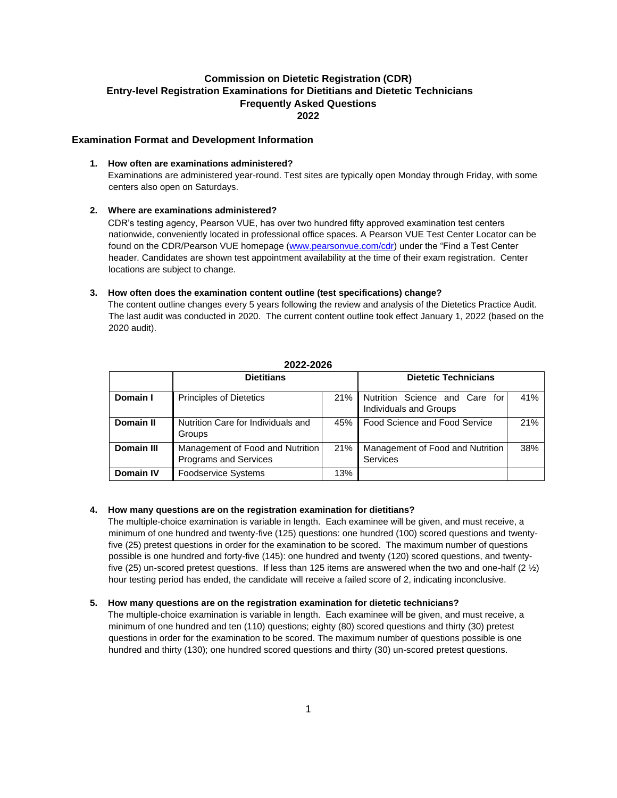# **Commission on Dietetic Registration (CDR) Entry-level Registration Examinations for Dietitians and Dietetic Technicians Frequently Asked Questions 2022**

## **Examination Format and Development Information**

### **1. How often are examinations administered?**

Examinations are administered year-round. Test sites are typically open Monday through Friday, with some centers also open on Saturdays.

## **2. Where are examinations administered?**

CDR's testing agency, Pearson VUE, has over two hundred fifty approved examination test centers nationwide, conveniently located in professional office spaces. A Pearson VUE Test Center Locator can be found on the CDR/Pearson VUE homepage [\(www.pearsonvue.com/cdr\)](http://www.pearsonvue.com/cdr) under the "Find a Test Center header. Candidates are shown test appointment availability at the time of their exam registration. Center locations are subject to change.

## **3. How often does the examination content outline (test specifications) change?**

The content outline changes every 5 years following the review and analysis of the Dietetics Practice Audit. The last audit was conducted in 2020. The current content outline took effect January 1, 2022 (based on the 2020 audit).

| LULL-LULU        |                                                           |     |                                                                 |     |  |  |  |  |  |
|------------------|-----------------------------------------------------------|-----|-----------------------------------------------------------------|-----|--|--|--|--|--|
|                  | <b>Dietitians</b>                                         |     | <b>Dietetic Technicians</b>                                     |     |  |  |  |  |  |
| Domain I         | <b>Principles of Dietetics</b>                            | 21% | Nutrition Science and Care for<br><b>Individuals and Groups</b> | 41% |  |  |  |  |  |
| Domain II        | Nutrition Care for Individuals and<br>Groups              | 45% | Food Science and Food Service                                   | 21% |  |  |  |  |  |
| Domain III       | Management of Food and Nutrition<br>Programs and Services | 21% | Management of Food and Nutrition<br><b>Services</b>             | 38% |  |  |  |  |  |
| <b>Domain IV</b> | <b>Foodservice Systems</b>                                | 13% |                                                                 |     |  |  |  |  |  |

## **2022-2026**

### **4. How many questions are on the registration examination for dietitians?**

The multiple-choice examination is variable in length. Each examinee will be given, and must receive, a minimum of one hundred and twenty-five (125) questions: one hundred (100) scored questions and twentyfive (25) pretest questions in order for the examination to be scored. The maximum number of questions possible is one hundred and forty-five (145): one hundred and twenty (120) scored questions, and twentyfive (25) un-scored pretest questions. If less than 125 items are answered when the two and one-half (2 $\frac{1}{2}$ ) hour testing period has ended, the candidate will receive a failed score of 2, indicating inconclusive.

### **5. How many questions are on the registration examination for dietetic technicians?**

The multiple-choice examination is variable in length. Each examinee will be given, and must receive, a minimum of one hundred and ten (110) questions; eighty (80) scored questions and thirty (30) pretest questions in order for the examination to be scored. The maximum number of questions possible is one hundred and thirty (130); one hundred scored questions and thirty (30) un-scored pretest questions.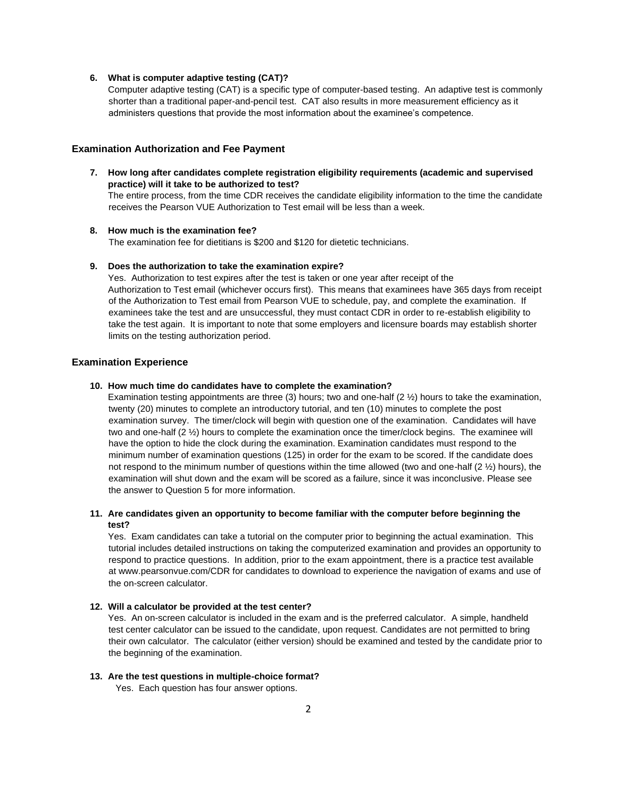### **6. What is computer adaptive testing (CAT)?**

Computer adaptive testing (CAT) is a specific type of computer-based testing. An adaptive test is commonly shorter than a traditional paper-and-pencil test. CAT also results in more measurement efficiency as it administers questions that provide the most information about the examinee's competence.

# **Examination Authorization and Fee Payment**

**7. How long after candidates complete registration eligibility requirements (academic and supervised practice) will it take to be authorized to test?** 

The entire process, from the time CDR receives the candidate eligibility information to the time the candidate receives the Pearson VUE Authorization to Test email will be less than a week.

#### **8. How much is the examination fee?**

The examination fee for dietitians is \$200 and \$120 for dietetic technicians.

#### **9. Does the authorization to take the examination expire?**

Yes. Authorization to test expires after the test is taken or one year after receipt of the Authorization to Test email (whichever occurs first). This means that examinees have 365 days from receipt of the Authorization to Test email from Pearson VUE to schedule, pay, and complete the examination. If examinees take the test and are unsuccessful, they must contact CDR in order to re-establish eligibility to take the test again. It is important to note that some employers and licensure boards may establish shorter limits on the testing authorization period.

## **Examination Experience**

#### **10. How much time do candidates have to complete the examination?**

Examination testing appointments are three (3) hours; two and one-half (2 ½) hours to take the examination, twenty (20) minutes to complete an introductory tutorial, and ten (10) minutes to complete the post examination survey. The timer/clock will begin with question one of the examination. Candidates will have two and one-half (2 ½) hours to complete the examination once the timer/clock begins. The examinee will have the option to hide the clock during the examination. Examination candidates must respond to the minimum number of examination questions (125) in order for the exam to be scored. If the candidate does not respond to the minimum number of questions within the time allowed (two and one-half (2 ½) hours), the examination will shut down and the exam will be scored as a failure, since it was inconclusive. Please see the answer to Question 5 for more information.

## **11. Are candidates given an opportunity to become familiar with the computer before beginning the test?**

Yes. Exam candidates can take a tutorial on the computer prior to beginning the actual examination. This tutorial includes detailed instructions on taking the computerized examination and provides an opportunity to respond to practice questions. In addition, prior to the exam appointment, there is a practice test available at www.pearsonvue.com/CDR for candidates to download to experience the navigation of exams and use of the on-screen calculator.

## **12. Will a calculator be provided at the test center?**

Yes. An on-screen calculator is included in the exam and is the preferred calculator. A simple, handheld test center calculator can be issued to the candidate, upon request. Candidates are not permitted to bring their own calculator. The calculator (either version) should be examined and tested by the candidate prior to the beginning of the examination.

#### **13. Are the test questions in multiple-choice format?**

Yes. Each question has four answer options.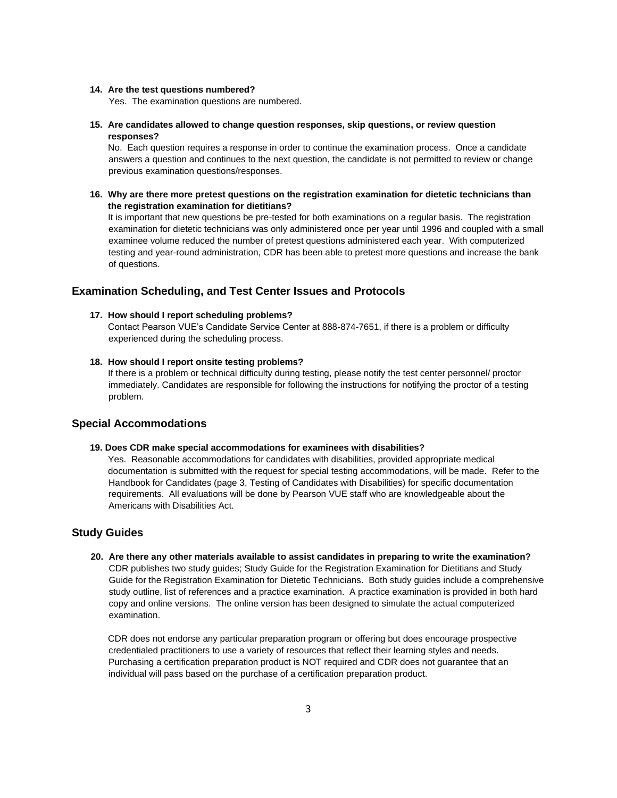### **14. Are the test questions numbered?**

Yes. The examination questions are numbered.

**15. Are candidates allowed to change question responses, skip questions, or review question responses?** 

No. Each question requires a response in order to continue the examination process. Once a candidate answers a question and continues to the next question, the candidate is not permitted to review or change previous examination questions/responses.

**16. Why are there more pretest questions on the registration examination for dietetic technicians than the registration examination for dietitians?** 

It is important that new questions be pre-tested for both examinations on a regular basis. The registration examination for dietetic technicians was only administered once per year until 1996 and coupled with a small examinee volume reduced the number of pretest questions administered each year. With computerized testing and year-round administration, CDR has been able to pretest more questions and increase the bank of questions.

# **Examination Scheduling, and Test Center Issues and Protocols**

# **17. How should I report scheduling problems?**

Contact Pearson VUE's Candidate Service Center at 888-874-7651, if there is a problem or difficulty experienced during the scheduling process.

**18. How should I report onsite testing problems?** 

If there is a problem or technical difficulty during testing, please notify the test center personnel/ proctor immediately. Candidates are responsible for following the instructions for notifying the proctor of a testing problem.

# **Special Accommodations**

## **19. Does CDR make special accommodations for examinees with disabilities?**

Yes. Reasonable accommodations for candidates with disabilities, provided appropriate medical documentation is submitted with the request for special testing accommodations, will be made. Refer to the Handbook for Candidates (page 3, Testing of Candidates with Disabilities) for specific documentation requirements. All evaluations will be done by Pearson VUE staff who are knowledgeable about the Americans with Disabilities Act.

# **Study Guides**

**20. Are there any other materials available to assist candidates in preparing to write the examination?**  CDR publishes two study guides; Study Guide for the Registration Examination for Dietitians and Study Guide for the Registration Examination for Dietetic Technicians. Both study guides include a comprehensive study outline, list of references and a practice examination. A practice examination is provided in both hard copy and online versions. The online version has been designed to simulate the actual computerized examination.

CDR does not endorse any particular preparation program or offering but does encourage prospective credentialed practitioners to use a variety of resources that reflect their learning styles and needs. Purchasing a certification preparation product is NOT required and CDR does not guarantee that an individual will pass based on the purchase of a certification preparation product.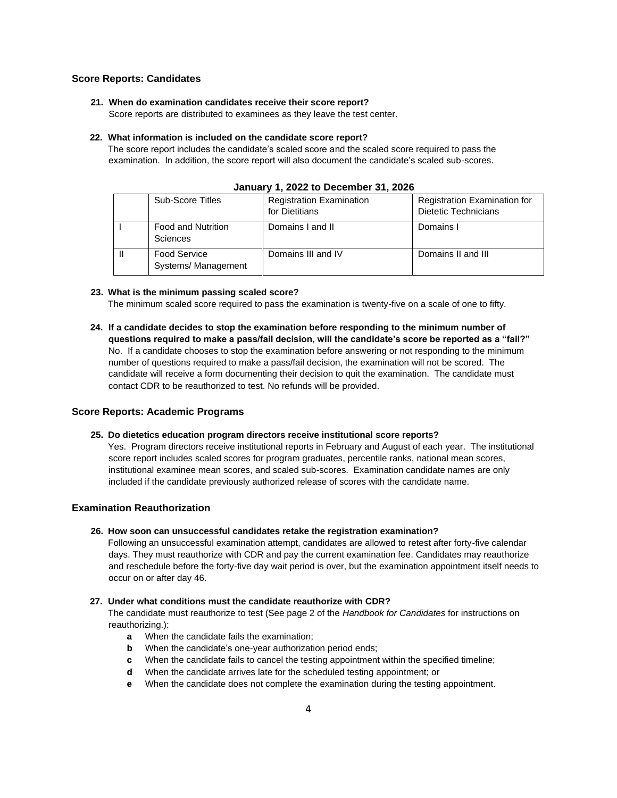## **Score Reports: Candidates**

**21. When do examination candidates receive their score report?**  Score reports are distributed to examinees as they leave the test center.

#### **22. What information is included on the candidate score report?**

The score report includes the candidate's scaled score and the scaled score required to pass the examination. In addition, the score report will also document the candidate's scaled sub-scores.

| <b>Sub-Score Titles</b>                      | <b>Registration Examination</b><br>for Dietitians | <b>Registration Examination for</b><br><b>Dietetic Technicians</b> |  |  |  |  |  |
|----------------------------------------------|---------------------------------------------------|--------------------------------------------------------------------|--|--|--|--|--|
| <b>Food and Nutrition</b><br><b>Sciences</b> | Domains I and II                                  | Domains I                                                          |  |  |  |  |  |
| Food Service<br>Systems/ Management          | Domains III and IV                                | Domains II and III                                                 |  |  |  |  |  |

| January 1, 2022 to December 31, 2026 |  |  |  |  |
|--------------------------------------|--|--|--|--|
|--------------------------------------|--|--|--|--|

#### **23. What is the minimum passing scaled score?**

The minimum scaled score required to pass the examination is twenty-five on a scale of one to fifty.

**24. If a candidate decides to stop the examination before responding to the minimum number of questions required to make a pass/fail decision, will the candidate's score be reported as a "fail?"**  No. If a candidate chooses to stop the examination before answering or not responding to the minimum number of questions required to make a pass/fail decision, the examination will not be scored. The candidate will receive a form documenting their decision to quit the examination. The candidate must contact CDR to be reauthorized to test. No refunds will be provided.

# **Score Reports: Academic Programs**

#### **25. Do dietetics education program directors receive institutional score reports?**

Yes. Program directors receive institutional reports in February and August of each year. The institutional score report includes scaled scores for program graduates, percentile ranks, national mean scores, institutional examinee mean scores, and scaled sub-scores. Examination candidate names are only included if the candidate previously authorized release of scores with the candidate name.

#### **Examination Reauthorization**

## **26. How soon can unsuccessful candidates retake the registration examination?**

Following an unsuccessful examination attempt, candidates are allowed to retest after forty-five calendar days. They must reauthorize with CDR and pay the current examination fee. Candidates may reauthorize and reschedule before the forty-five day wait period is over, but the examination appointment itself needs to occur on or after day 46.

#### **27. Under what conditions must the candidate reauthorize with CDR?**

The candidate must reauthorize to test (See page 2 of the *Handbook for Candidates* for instructions on reauthorizing.):

- **a** When the candidate fails the examination;
- **b** When the candidate's one-year authorization period ends;
- **c** When the candidate fails to cancel the testing appointment within the specified timeline;
- **d** When the candidate arrives late for the scheduled testing appointment; or
- **e** When the candidate does not complete the examination during the testing appointment.